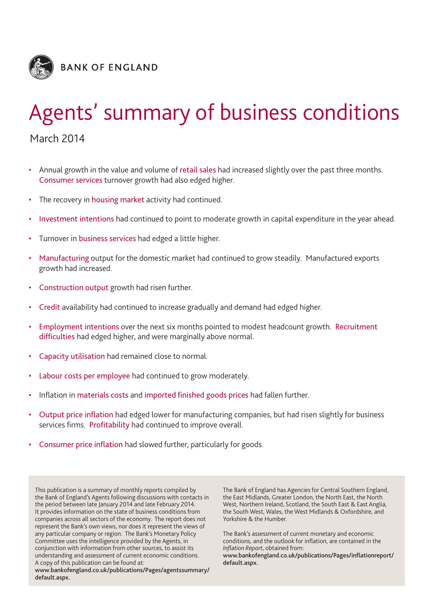

# Agents' summary of business conditions

March 2014

- Annual growth in the value and volume of retail sales had increased slightly over the past three months. Consumer services turnover growth had also edged higher.
- The recovery in housing market activity had continued.
- Investment intentions had continued to point to moderate growth in capital expenditure in the year ahead.
- Turnover in business services had edged a little higher.
- Manufacturing output for the domestic market had continued to grow steadily. Manufactured exports growth had increased.
- Construction output growth had risen further.
- Credit availability had continued to increase gradually and demand had edged higher.
- Employment intentions over the next six months pointed to modest headcount growth. Recruitment difficulties had edged higher, and were marginally above normal.
- Capacity utilisation had remained close to normal.
- Labour costs per employee had continued to grow moderately.
- Inflation in materials costs and imported finished goods prices had fallen further.
- Output price inflation had edged lower for manufacturing companies, but had risen slightly for business services firms. Profitability had continued to improve overall.
- Consumer price inflation had slowed further, particularly for goods.

This publication is a summary of monthly reports compiled by the Bank of England's Agents following discussions with contacts in the period between late January 2014 and late February 2014. It provides information on the state of business conditions from companies across all sectors of the economy. The report does not represent the Bank's own views, nor does it represent the views of any particular company or region. The Bank's Monetary Policy Committee uses the intelligence provided by the Agents, in conjunction with information from other sources, to assist its understanding and assessment of current economic conditions. A copy of this publication can be found at:

**www.bankofengland.co.uk/publications/Pages/agentssummary/ default.aspx.**

The Bank of England has Agencies for Central Southern England, the East Midlands, Greater London, the North East, the North West, Northern Ireland, Scotland, the South East & East Anglia, the South West, Wales, the West Midlands & Oxfordshire, and Yorkshire & the Humber.

The Bank's assessment of current monetary and economic conditions, and the outlook for inflation, are contained in the *Inflation Report*, obtained from:

**www.bankofengland.co.uk/publications/Pages/inflationreport/ default.aspx.**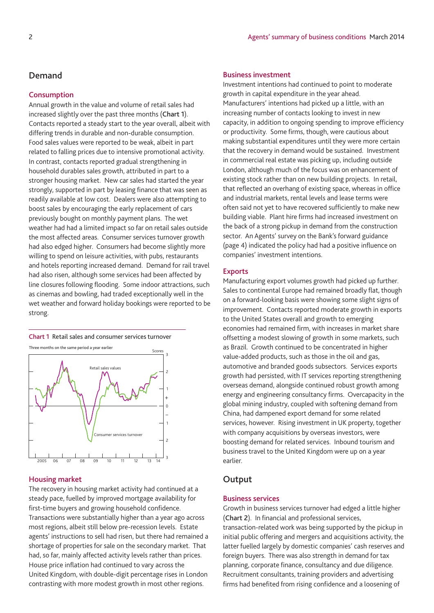# **Demand**

## **Consumption**

Annual growth in the value and volume of retail sales had increased slightly over the past three months (**Chart 1**). Contacts reported a steady start to the year overall, albeit with differing trends in durable and non-durable consumption. Food sales values were reported to be weak, albeit in part related to falling prices due to intensive promotional activity. In contrast, contacts reported gradual strengthening in household durables sales growth, attributed in part to a stronger housing market. New car sales had started the year strongly, supported in part by leasing finance that was seen as readily available at low cost. Dealers were also attempting to boost sales by encouraging the early replacement of cars previously bought on monthly payment plans. The wet weather had had a limited impact so far on retail sales outside the most affected areas. Consumer services turnover growth had also edged higher. Consumers had become slightly more willing to spend on leisure activities, with pubs, restaurants and hotels reporting increased demand. Demand for rail travel had also risen, although some services had been affected by line closures following flooding. Some indoor attractions, such as cinemas and bowling, had traded exceptionally well in the wet weather and forward holiday bookings were reported to be strong.



# 3 2 1 0 2005 06 07 08 09 10 11 12 13 14 Imer services turnove + –

#### **Housing market**

The recovery in housing market activity had continued at a steady pace, fuelled by improved mortgage availability for first-time buyers and growing household confidence. Transactions were substantially higher than a year ago across most regions, albeit still below pre-recession levels. Estate agents' instructions to sell had risen, but there had remained a shortage of properties for sale on the secondary market. That had, so far, mainly affected activity levels rather than prices. House price inflation had continued to vary across the United Kingdom, with double-digit percentage rises in London contrasting with more modest growth in most other regions.

## **Business investment**

Investment intentions had continued to point to moderate growth in capital expenditure in the year ahead. Manufacturers' intentions had picked up a little, with an increasing number of contacts looking to invest in new capacity, in addition to ongoing spending to improve efficiency or productivity. Some firms, though, were cautious about making substantial expenditures until they were more certain that the recovery in demand would be sustained. Investment in commercial real estate was picking up, including outside London, although much of the focus was on enhancement of existing stock rather than on new building projects. In retail, that reflected an overhang of existing space, whereas in office and industrial markets, rental levels and lease terms were often said not yet to have recovered sufficiently to make new building viable. Plant hire firms had increased investment on the back of a strong pickup in demand from the construction sector. An Agents' survey on the Bank's forward guidance (page 4) indicated the policy had had a positive influence on companies' investment intentions.

## **Exports**

Manufacturing export volumes growth had picked up further. Sales to continental Europe had remained broadly flat, though on a forward-looking basis were showing some slight signs of improvement. Contacts reported moderate growth in exports to the United States overall and growth to emerging economies had remained firm, with increases in market share offsetting a modest slowing of growth in some markets, such as Brazil. Growth continued to be concentrated in higher value-added products, such as those in the oil and gas, automotive and branded goods subsectors. Services exports growth had persisted, with IT services reporting strengthening overseas demand, alongside continued robust growth among energy and engineering consultancy firms. Overcapacity in the global mining industry, coupled with softening demand from China, had dampened export demand for some related services, however. Rising investment in UK property, together with company acquisitions by overseas investors, were boosting demand for related services. Inbound tourism and business travel to the United Kingdom were up on a year earlier.

# **Output**

## **Business services**

Growth in business services turnover had edged a little higher (**Chart 2**). In financial and professional services, transaction-related work was being supported by the pickup in initial public offering and mergers and acquisitions activity, the latter fuelled largely by domestic companies' cash reserves and foreign buyers. There was also strength in demand for tax planning, corporate finance, consultancy and due diligence. Recruitment consultants, training providers and advertising firms had benefited from rising confidence and a loosening of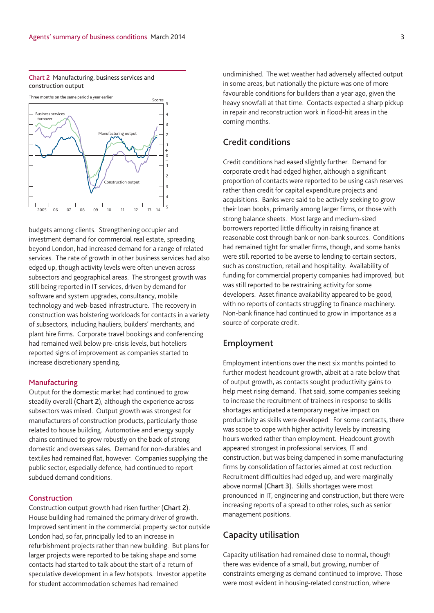## **Chart 2** Manufacturing, business services and construction output



budgets among clients. Strengthening occupier and investment demand for commercial real estate, spreading beyond London, had increased demand for a range of related services. The rate of growth in other business services had also edged up, though activity levels were often uneven across subsectors and geographical areas. The strongest growth was still being reported in IT services, driven by demand for software and system upgrades, consultancy, mobile technology and web-based infrastructure. The recovery in construction was bolstering workloads for contacts in a variety of subsectors, including hauliers, builders' merchants, and plant hire firms. Corporate travel bookings and conferencing had remained well below pre-crisis levels, but hoteliers reported signs of improvement as companies started to increase discretionary spending.

## **Manufacturing**

Output for the domestic market had continued to grow steadily overall (**Chart 2**), although the experience across subsectors was mixed. Output growth was strongest for manufacturers of construction products, particularly those related to house building. Automotive and energy supply chains continued to grow robustly on the back of strong domestic and overseas sales. Demand for non-durables and textiles had remained flat, however. Companies supplying the public sector, especially defence, had continued to report subdued demand conditions.

## **Construction**

Construction output growth had risen further (**Chart 2**). House building had remained the primary driver of growth. Improved sentiment in the commercial property sector outside London had, so far, principally led to an increase in refurbishment projects rather than new building. But plans for larger projects were reported to be taking shape and some contacts had started to talk about the start of a return of speculative development in a few hotspots. Investor appetite for student accommodation schemes had remained

undiminished. The wet weather had adversely affected output in some areas, but nationally the picture was one of more favourable conditions for builders than a year ago, given the heavy snowfall at that time. Contacts expected a sharp pickup in repair and reconstruction work in flood-hit areas in the coming months.

# **Credit conditions**

Credit conditions had eased slightly further. Demand for corporate credit had edged higher, although a significant proportion of contacts were reported to be using cash reserves rather than credit for capital expenditure projects and acquisitions. Banks were said to be actively seeking to grow their loan books, primarily among larger firms, or those with strong balance sheets. Most large and medium-sized borrowers reported little difficulty in raising finance at reasonable cost through bank or non-bank sources. Conditions had remained tight for smaller firms, though, and some banks were still reported to be averse to lending to certain sectors, such as construction, retail and hospitality. Availability of funding for commercial property companies had improved, but was still reported to be restraining activity for some developers. Asset finance availability appeared to be good, with no reports of contacts struggling to finance machinery. Non-bank finance had continued to grow in importance as a source of corporate credit.

# **Employment**

Employment intentions over the next six months pointed to further modest headcount growth, albeit at a rate below that of output growth, as contacts sought productivity gains to help meet rising demand. That said, some companies seeking to increase the recruitment of trainees in response to skills shortages anticipated a temporary negative impact on productivity as skills were developed. For some contacts, there was scope to cope with higher activity levels by increasing hours worked rather than employment. Headcount growth appeared strongest in professional services, IT and construction, but was being dampened in some manufacturing firms by consolidation of factories aimed at cost reduction. Recruitment difficulties had edged up, and were marginally above normal (**Chart 3**). Skills shortages were most pronounced in IT, engineering and construction, but there were increasing reports of a spread to other roles, such as senior management positions.

# **Capacity utilisation**

Capacity utilisation had remained close to normal, though there was evidence of a small, but growing, number of constraints emerging as demand continued to improve. Those were most evident in housing-related construction, where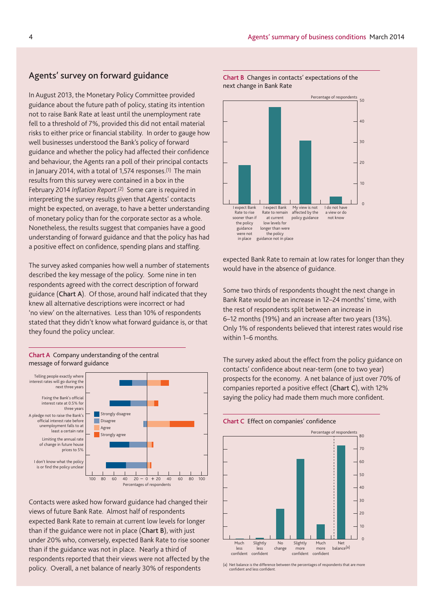# **Agents' survey on forward guidance**

In August 2013, the Monetary Policy Committee provided guidance about the future path of policy, stating its intention not to raise Bank Rate at least until the unemployment rate fell to a threshold of 7%, provided this did not entail material risks to either price or financial stability. In order to gauge how well businesses understood the Bank's policy of forward guidance and whether the policy had affected their confidence and behaviour, the Agents ran a poll of their principal contacts in January 2014, with a total of 1,574 responses.<sup>(1)</sup> The main results from this survey were contained in a box in the February 2014 *Inflation Report*.(2) Some care is required in interpreting the survey results given that Agents' contacts might be expected, on average, to have a better understanding of monetary policy than for the corporate sector as a whole. Nonetheless, the results suggest that companies have a good understanding of forward guidance and that the policy has had a positive effect on confidence, spending plans and staffing.

The survey asked companies how well a number of statements described the key message of the policy. Some nine in ten respondents agreed with the correct description of forward guidance (**Chart A**). Of those, around half indicated that they knew all alternative descriptions were incorrect or had 'no view' on the alternatives. Less than 10% of respondents stated that they didn't know what forward guidance is, or that they found the policy unclear.



**Chart A** Company understanding of the central message of forward guidance

Contacts were asked how forward guidance had changed their views of future Bank Rate. Almost half of respondents expected Bank Rate to remain at current low levels for longer than if the guidance were not in place (**Chart B**), with just under 20% who, conversely, expected Bank Rate to rise sooner than if the guidance was not in place. Nearly a third of respondents reported that their views were not affected by the policy. Overall, a net balance of nearly 30% of respondents



## **Chart B** Changes in contacts' expectations of the next change in Bank Rate

expected Bank Rate to remain at low rates for longer than they would have in the absence of guidance.

Some two thirds of respondents thought the next change in Bank Rate would be an increase in 12–24 months' time, with the rest of respondents split between an increase in 6–12 months (19%) and an increase after two years (13%). Only 1% of respondents believed that interest rates would rise within 1–6 months.

The survey asked about the effect from the policy guidance on contacts' confidence about near-term (one to two year) prospects for the economy. A net balance of just over 70% of companies reported a positive effect (**Chart C**), with 12% saying the policy had made them much more confident.

## **Chart C** Effect on companies' confidence



(a) Net balance is the difference between the percentages of respondents that are more confident and less confident.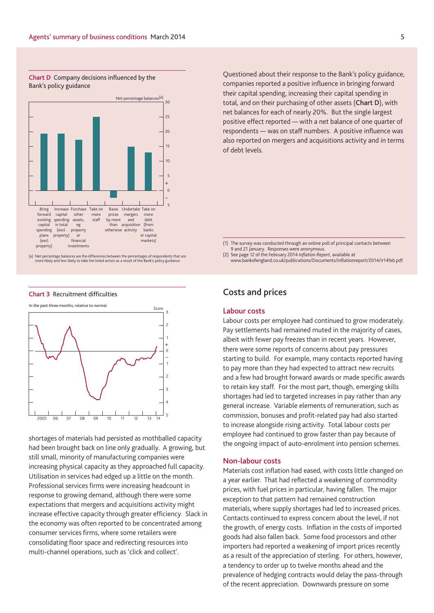**Chart D** Company decisions influenced by the Bank's policy guidance



(a) Net percentage balances are the differences between the percentages of respondents that are more likely and less likely to take the listed action as a result of the Bank's policy guidance.

#### **Chart 3** Recruitment difficulties



shortages of materials had persisted as mothballed capacity had been brought back on line only gradually. A growing, but still small, minority of manufacturing companies were increasing physical capacity as they approached full capacity. Utilisation in services had edged up a little on the month. Professional services firms were increasing headcount in response to growing demand, although there were some expectations that mergers and acquisitions activity might increase effective capacity through greater efficiency. Slack in the economy was often reported to be concentrated among consumer services firms, where some retailers were consolidating floor space and redirecting resources into multi-channel operations, such as 'click and collect'.

Questioned about their response to the Bank's policy guidance, companies reported a positive influence in bringing forward their capital spending, increasing their capital spending in total, and on their purchasing of other assets (**Chart D**), with net balances for each of nearly 20%. But the single largest positive effect reported — with a net balance of one quarter of respondents — was on staff numbers. A positive influence was also reported on mergers and acquisitions activity and in terms of debt levels.

(1) The survey was conducted through an online poll of principal contacts between 9 and 21 January. Responses were anonymous.

(2) See page 12 of the February 2014 *Inflation Report*, available at

www.bankofengland.co.uk/publications/Documents/inflationreport/2014/ir14feb.pdf.

# **Costs and prices**

## **Labour costs**

Labour costs per employee had continued to grow moderately. Pay settlements had remained muted in the majority of cases, albeit with fewer pay freezes than in recent years. However, there were some reports of concerns about pay pressures starting to build. For example, many contacts reported having to pay more than they had expected to attract new recruits and a few had brought forward awards or made specific awards to retain key staff. For the most part, though, emerging skills shortages had led to targeted increases in pay rather than any general increase. Variable elements of remuneration, such as commission, bonuses and profit-related pay had also started to increase alongside rising activity. Total labour costs per employee had continued to grow faster than pay because of the ongoing impact of auto-enrolment into pension schemes.

## **Non-labour costs**

Materials cost inflation had eased, with costs little changed on a year earlier. That had reflected a weakening of commodity prices, with fuel prices in particular, having fallen. The major exception to that pattern had remained construction materials, where supply shortages had led to increased prices. Contacts continued to express concern about the level, if not the growth, of energy costs. Inflation in the costs of imported goods had also fallen back. Some food processors and other importers had reported a weakening of import prices recently as a result of the appreciation of sterling. For others, however, a tendency to order up to twelve months ahead and the prevalence of hedging contracts would delay the pass-through of the recent appreciation. Downwards pressure on some